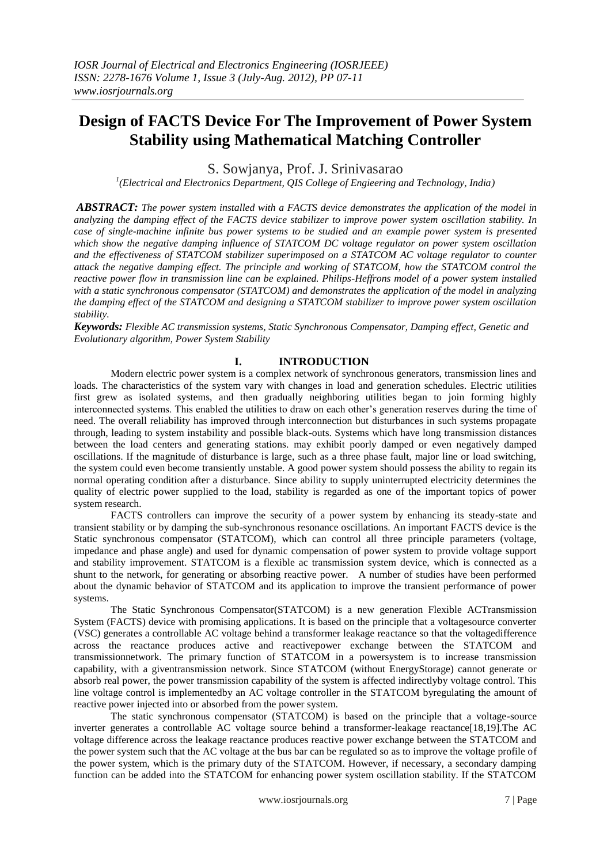# **Design of FACTS Device For The Improvement of Power System Stability using Mathematical Matching Controller**

S. Sowjanya, Prof. J. Srinivasarao

*1 (Electrical and Electronics Department, QIS College of Engieering and Technology, India)*

*ABSTRACT: The power system installed with a FACTS device demonstrates the application of the model in analyzing the damping effect of the FACTS device stabilizer to improve power system oscillation stability. In case of single-machine infinite bus power systems to be studied and an example power system is presented which show the negative damping influence of STATCOM DC voltage regulator on power system oscillation and the effectiveness of STATCOM stabilizer superimposed on a STATCOM AC voltage regulator to counter attack the negative damping effect. The principle and working of STATCOM, how the STATCOM control the reactive power flow in transmission line can be explained. Philips-Heffrons model of a power system installed with a static synchronous compensator (STATCOM) and demonstrates the application of the model in analyzing the damping effect of the STATCOM and designing a STATCOM stabilizer to improve power system oscillation stability.*

*Keywords: Flexible AC transmission systems, Static Synchronous Compensator, Damping effect, Genetic and Evolutionary algorithm, Power System Stability*

# **I. INTRODUCTION**

Modern electric power system is a complex network of synchronous generators, transmission lines and loads. The characteristics of the system vary with changes in load and generation schedules. Electric utilities first grew as isolated systems, and then gradually neighboring utilities began to join forming highly interconnected systems. This enabled the utilities to draw on each other"s generation reserves during the time of need. The overall reliability has improved through interconnection but disturbances in such systems propagate through, leading to system instability and possible black-outs. Systems which have long transmission distances between the load centers and generating stations. may exhibit poorly damped or even negatively damped oscillations. If the magnitude of disturbance is large, such as a three phase fault, major line or load switching, the system could even become transiently unstable. A good power system should possess the ability to regain its normal operating condition after a disturbance. Since ability to supply uninterrupted electricity determines the quality of electric power supplied to the load, stability is regarded as one of the important topics of power system research.

FACTS controllers can improve the security of a power system by enhancing its steady-state and transient stability or by damping the sub-synchronous resonance oscillations. An important FACTS device is the Static synchronous compensator (STATCOM), which can control all three principle parameters (voltage, impedance and phase angle) and used for dynamic compensation of power system to provide voltage support and stability improvement. STATCOM is a flexible ac transmission system device, which is connected as a shunt to the network, for generating or absorbing reactive power. A number of studies have been performed about the dynamic behavior of STATCOM and its application to improve the transient performance of power systems.

The Static Synchronous Compensator(STATCOM) is a new generation Flexible ACTransmission System (FACTS) device with promising applications. It is based on the principle that a voltagesource converter (VSC) generates a controllable AC voltage behind a transformer leakage reactance so that the voltagedifference across the reactance produces active and reactivepower exchange between the STATCOM and transmissionnetwork. The primary function of STATCOM in a powersystem is to increase transmission capability, with a giventransmission network. Since STATCOM (without EnergyStorage) cannot generate or absorb real power, the power transmission capability of the system is affected indirectlyby voltage control. This line voltage control is implementedby an AC voltage controller in the STATCOM byregulating the amount of reactive power injected into or absorbed from the power system.

The static synchronous compensator (STATCOM) is based on the principle that a voltage-source inverter generates a controllable AC voltage source behind a transformer-leakage reactance[18,19].The AC voltage difference across the leakage reactance produces reactive power exchange between the STATCOM and the power system such that the AC voltage at the bus bar can be regulated so as to improve the voltage profile of the power system, which is the primary duty of the STATCOM. However, if necessary, a secondary damping function can be added into the STATCOM for enhancing power system oscillation stability. If the STATCOM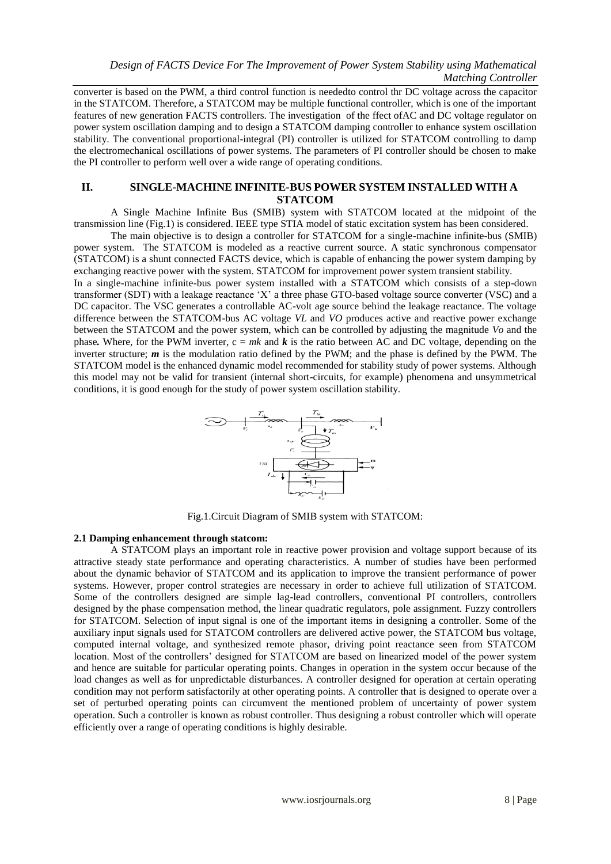converter is based on the PWM, a third control function is neededto control thr DC voltage across the capacitor in the STATCOM. Therefore, a STATCOM may be multiple functional controller, which is one of the important features of new generation FACTS controllers. The investigation of the ffect ofAC and DC voltage regulator on power system oscillation damping and to design a STATCOM damping controller to enhance system oscillation stability. The conventional proportional-integral (PI) controller is utilized for STATCOM controlling to damp the electromechanical oscillations of power systems. The parameters of PI controller should be chosen to make the PI controller to perform well over a wide range of operating conditions.

## **II. SINGLE-MACHINE INFINITE-BUS POWER SYSTEM INSTALLED WITH A STATCOM**

A Single Machine Infinite Bus (SMIB) system with STATCOM located at the midpoint of the transmission line (Fig.1) is considered. IEEE type STIA model of static excitation system has been considered.

The main objective is to design a controller for STATCOM for a single-machine infinite-bus (SMIB) power system. The STATCOM is modeled as a reactive current source. A static synchronous compensator (STATCOM) is a shunt connected FACTS device, which is capable of enhancing the power system damping by exchanging reactive power with the system. STATCOM for improvement power system transient stability.

In a single-machine infinite-bus power system installed with a STATCOM which consists of a step-down transformer (SDT) with a leakage reactance "X" a three phase GTO-based voltage source converter (VSC) and a DC capacitor. The VSC generates a controllable AC-volt age source behind the leakage reactance. The voltage difference between the STATCOM-bus AC voltage *VL* and *VO* produces active and reactive power exchange between the STATCOM and the power system, which can be controlled by adjusting the magnitude *Vo* and the phase. Where, for the PWM inverter,  $c = mk$  and  $k$  is the ratio between AC and DC voltage, depending on the inverter structure; *m* is the modulation ratio defined by the PWM; and the phase is defined by the PWM. The STATCOM model is the enhanced dynamic model recommended for stability study of power systems. Although this model may not be valid for transient (internal short-circuits, for example) phenomena and unsymmetrical conditions, it is good enough for the study of power system oscillation stability.



Fig.1.Circuit Diagram of SMIB system with STATCOM:

## **2.1 Damping enhancement through statcom:**

A STATCOM plays an important role in reactive power provision and voltage support because of its attractive steady state performance and operating characteristics. A number of studies have been performed about the dynamic behavior of STATCOM and its application to improve the transient performance of power systems. However, proper control strategies are necessary in order to achieve full utilization of STATCOM. Some of the controllers designed are simple lag-lead controllers, conventional PI controllers, controllers designed by the phase compensation method, the linear quadratic regulators, pole assignment. Fuzzy controllers for STATCOM. Selection of input signal is one of the important items in designing a controller. Some of the auxiliary input signals used for STATCOM controllers are delivered active power, the STATCOM bus voltage, computed internal voltage, and synthesized remote phasor, driving point reactance seen from STATCOM location. Most of the controllers' designed for STATCOM are based on linearized model of the power system and hence are suitable for particular operating points. Changes in operation in the system occur because of the load changes as well as for unpredictable disturbances. A controller designed for operation at certain operating condition may not perform satisfactorily at other operating points. A controller that is designed to operate over a set of perturbed operating points can circumvent the mentioned problem of uncertainty of power system operation. Such a controller is known as robust controller. Thus designing a robust controller which will operate efficiently over a range of operating conditions is highly desirable.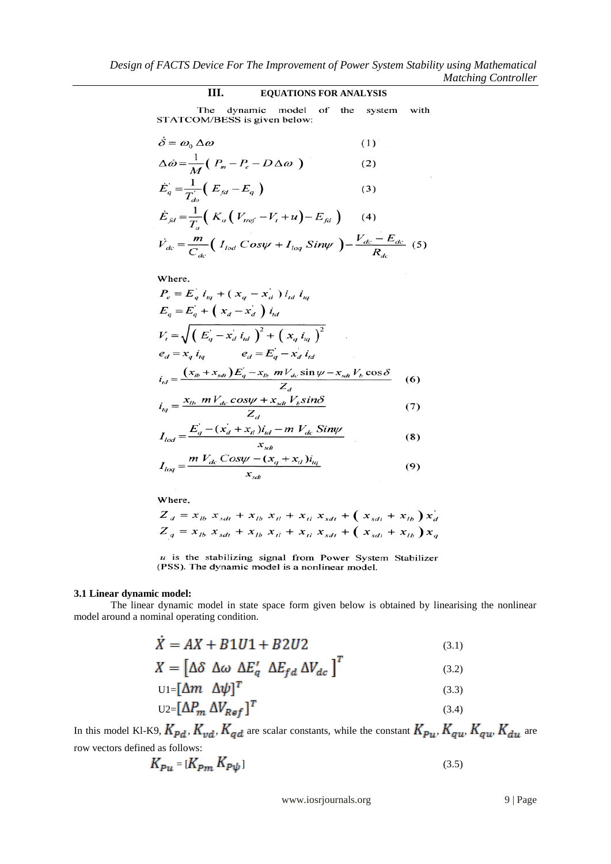# **III. EQUATIONS FOR ANALYSIS**

The dynamic model of the system<br>STATCOM/BESS is given below: with

$$
\dot{\delta} = \omega_0 \,\Delta \omega \tag{1}
$$

$$
\Delta \dot{\omega} = \frac{1}{M} \left( P_m - P_e - D \Delta \omega \right) \tag{2}
$$

$$
\dot{E}_q = \frac{1}{T_{do}^{\prime}} \left( E_{fd} - E_q \right)
$$
\n
$$
\dot{E} = \frac{1}{T_{do}^{\prime}} \left( E_{fd} - E_q \right)
$$
\n(3)

$$
E_{fd} = \frac{m}{T_a} \left( K_a \left( V_{ref} - V_t + u \right) - E_{fd} \right) \qquad (4)
$$
\n
$$
\dot{V}_{dc} = \frac{m}{C_{dc}} \left( I_{lod} \cos \psi + I_{log} \sin \psi \right) - \frac{V_{dc} - E_{dc}}{R_{dc}} \qquad (5)
$$

Where,

$$
P_e = E_q i_{tq} + (x_q - x_d) i_{td} i_{tq}
$$
  
\n
$$
E_q = E_q + (x_d - x_d) i_{td}
$$
  
\n
$$
V_t = \sqrt{(E_q - x_d i_{td})^2 + (x_q i_{tq})^2}
$$
  
\n
$$
e_d = x_q i_{tq} \qquad e_d = E_q - x_d i_{td}
$$
  
\n
$$
i_{td} = \frac{(x_{tb} + x_{sdt})E_q - x_{tb} m V_{dc} \sin \psi - x_{sdt} V_b \cos \delta}{Z_d}
$$
 (6)

$$
i_{tq} = \frac{x_{tb} \ mV_{dc} \ cos\psi + x_{sdt} V_b \sin\phi}{Z_d} \tag{7}
$$

$$
I_{\text{lod}} = \frac{E_q - (x_d + x_d) i_{\text{td}} - m V_{\text{dc}} \, \text{Siny}}{x_{\text{sdt}}} \tag{8}
$$

$$
I_{log} = \frac{m V_{dc} \cos \psi - (x_q + x_d) i_{tq}}{x_{sdt}}
$$
(9)

Where,

$$
Z_{d} = x_{1b} x_{sdt} + x_{1b} x_{t1} + x_{t1} x_{sdt} + (x_{sdt} + x_{1b}) x_{d}
$$
  

$$
Z_{q} = x_{1b} x_{sdt} + x_{1b} x_{t1} + x_{t1} x_{sdt} + (x_{sdt} + x_{1b}) x_{q}
$$

 $u$  is the stabilizing signal from Power System Stabilizer (PSS). The dynamic model is a nonlinear model.

# **3.1 Linear dynamic model:**

The linear dynamic model in state space form given below is obtained by linearising the nonlinear model around a nominal operating condition.

$$
X = AX + B1U1 + B2U2 \tag{3.1}
$$

$$
X = \begin{bmatrix} \Delta \delta & \Delta \omega & \Delta E_q' & \Delta E_{fd} & \Delta V_{dc} \end{bmatrix}^T \tag{3.2}
$$

$$
U1 = [\Delta m \quad \Delta \psi]^T \tag{3.3}
$$

$$
U2 = [\Delta P_m \; \Delta V_{Ref}]^T \tag{3.4}
$$

In this model Kl-K9,  $K_{pd}$ ,  $K_{vd}$ ,  $K_{qd}$  are scalar constants, while the constant  $K_{Pu}$ ,  $K_{qu}$ ,  $K_{qu}$ ,  $K_{du}$  are row vectors defined as follows:

$$
K_{Pu} = [K_{Pm} \; K_{P\psi}] \tag{3.5}
$$

www.iosrjournals.org 9 | Page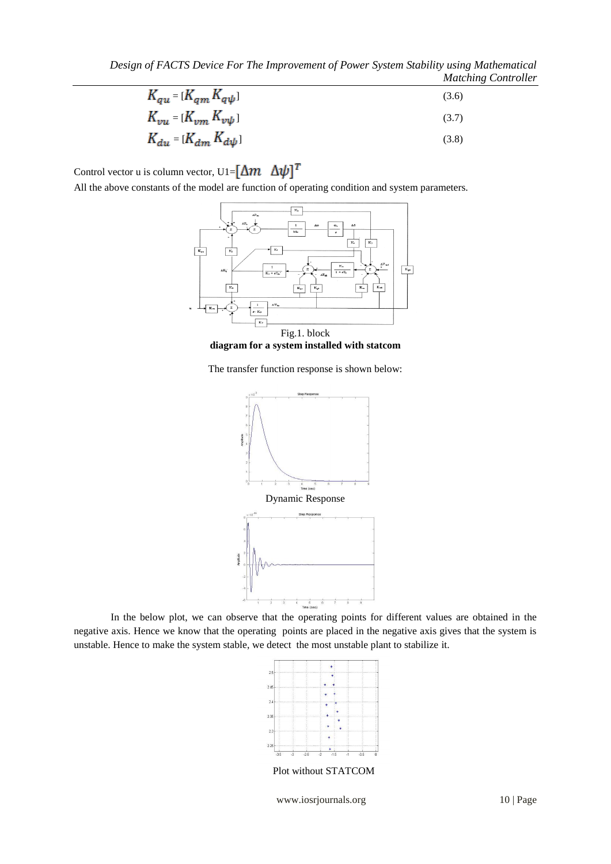| $K_{qu}=[K_{qm}K_{q\psi}]$        | (3.6) |
|-----------------------------------|-------|
| $K_{vu} = [K_{vm} \, K_{vv\psi}]$ | (3.7) |
| $K_{du} = [K_{dm} K_{d\psi}]$     | (3.8) |

Control vector u is column vector, U1= $[\Delta m \ \Delta \psi]^T$ 

All the above constants of the model are function of operating condition and system parameters.



Fig.1. block **diagram for a system installed with statcom**

The transfer function response is shown below:



In the below plot, we can observe that the operating points for different values are obtained in the negative axis. Hence we know that the operating points are placed in the negative axis gives that the system is unstable. Hence to make the system stable, we detect the most unstable plant to stabilize it.



Plot without STATCOM

www.iosrjournals.org 10 | Page